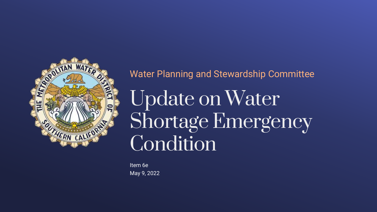

### Water Planning and Stewardship Committee

Update on Water Shortage Emergency Condition

Item 6e May 9, 2022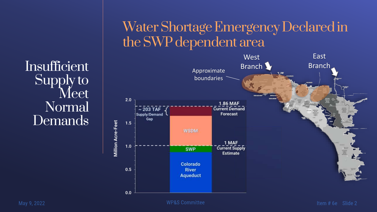**Insufficient** Supply to Meet Normal **Demands** 

# Water Shortage Emergency Declared in the SWP dependent area



**WP&S Committee**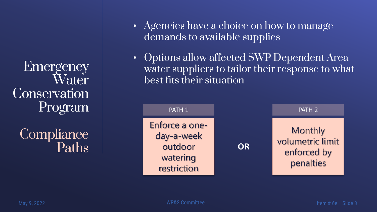**Emergency** Water **Conservation** Program

**Compliance** Paths

- Agencies have a choice on how to manage demands to available supplies
- Options allow affected SWP Dependent Area water suppliers to tailor their response to what best fits their situation

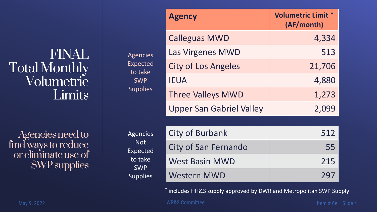FINAL Total Monthly Volumetric **Limits** 

Agencies need to find ways to reduce or eliminate use of SWP supplies

|                                                                                              | <b>Agency</b>                   | <b>Volumetric Limit *</b><br>(AF/month) |
|----------------------------------------------------------------------------------------------|---------------------------------|-----------------------------------------|
| <b>Agencies</b><br><b>Expected</b><br>to take<br><b>SWP</b><br><b>Supplies</b>               | <b>Calleguas MWD</b>            | 4,334                                   |
|                                                                                              | Las Virgenes MWD                | 513                                     |
|                                                                                              | <b>City of Los Angeles</b>      | 21,706                                  |
|                                                                                              | <b>IEUA</b>                     | 4,880                                   |
|                                                                                              | <b>Three Valleys MWD</b>        | 1,273                                   |
|                                                                                              | <b>Upper San Gabriel Valley</b> | 2,099                                   |
|                                                                                              |                                 |                                         |
| <b>Agencies</b><br><b>Not</b><br><b>Expected</b><br>to take<br><b>SWP</b><br><b>Supplies</b> | <b>City of Burbank</b>          | 512                                     |
|                                                                                              | <b>City of San Fernando</b>     | 55                                      |
|                                                                                              | <b>West Basin MWD</b>           | 215                                     |
|                                                                                              | <b>Western MWD</b>              | 297                                     |

\* includes HH&S supply approved by DWR and Metropolitan SWP Supply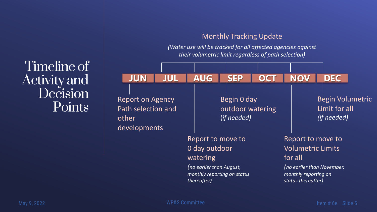#### Monthly Tracking Update

*(Water use will be tracked for all affected agencies against their volumetric limit regardless of path selection)*

Timeline of Activity and Decision **Points** 

| <b>JUN</b><br><b>JUL</b>                                               | <b>AUG</b>                                                           | <b>SEP</b>                                       | <b>OCT</b> | <b>NOV</b>                                                                                             | <b>DEC</b>                                                     |
|------------------------------------------------------------------------|----------------------------------------------------------------------|--------------------------------------------------|------------|--------------------------------------------------------------------------------------------------------|----------------------------------------------------------------|
| <b>Report on Agency</b><br>Path selection and<br>other<br>developments |                                                                      | Begin 0 day<br>outdoor watering<br>(if needed)   |            |                                                                                                        | <b>Begin Volumetric</b><br>Limit for all<br><i>(if needed)</i> |
|                                                                        | 0 day outdoor<br>watering<br>(no earlier than August,<br>thereafter) | Report to move to<br>monthly reporting on status |            | Report to move to<br><b>Volumetric Limits</b><br>for all<br>monthly reporting on<br>status thereafter) | (no earlier than November,                                     |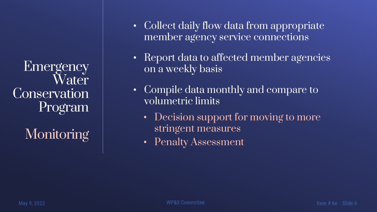Emergency Water **Conservation** Program

**Monitoring** 

- Collect daily flow data from appropriate member agency service connections
- Report data to affected member agencies on a weekly basis
- Compile data monthly and compare to volumetric limits
	- Decision support for moving to more stringent measures
	- Penalty Assessment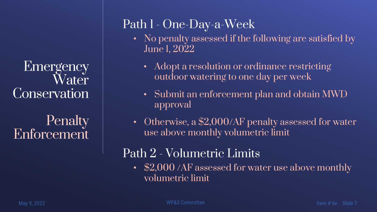**Emergency** Water Conservation

**Penalty** Enforcement

## Path 1 - One-Day-a-Week

- No penalty assessed if the following are satisfied by June 1, 2022
	- Adopt a resolution or ordinance restricting outdoor watering to one day per week
	- Submit an enforcement plan and obtain MWD approval
- Otherwise, a \$2,000/AF penalty assessed for water use above monthly volumetric limit

### Path 2 - Volumetric Limits

• \$2,000 /AF assessed for water use above monthly volumetric limit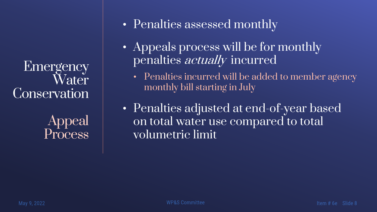Emergency Water **Conservation** 

> Appeal Process

- Penalties assessed monthly
- Appeals process will be for monthly penalties *actually* incurred
	- Penalties incurred will be added to member agency monthly bill starting in July
- Penalties adjusted at end-of-year based on total water use compared to total volumetric limit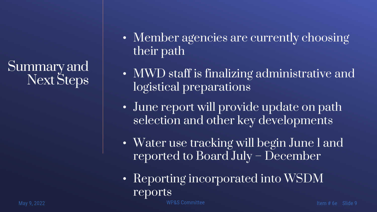Summary and Next Steps

- Member agencies are currently choosing their path
- MWD staff is finalizing administrative and logistical preparations
- June report will provide update on path selection and other key developments
- Water use tracking will begin June 1 and reported to Board July – December
- Reporting incorporated into WSDM reports

**WP&S Committee**